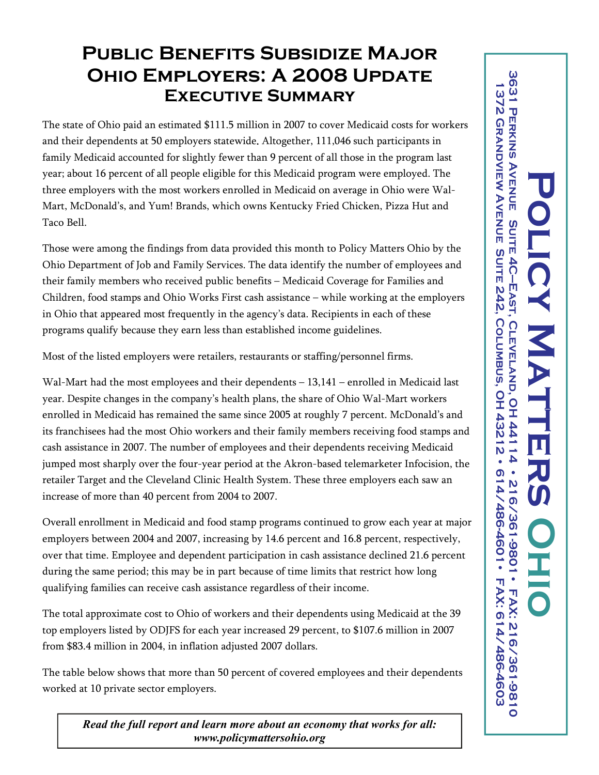## **Public Benefits Subsidize Major Ohio Employers: A 2008 Update Executive Summary**

The state of Ohio paid an estimated \$111.5 million in 2007 to cover Medicaid costs for workers and their dependents at 50 employers statewide . Altogether, 111,046 such participants in family Medicaid accounted for slightly fewer than 9 percent of all those in the program last year; about 16 percent of all people eligible for this Medicaid program were employed. The three employers with the most workers enrolled in Medicaid on average in Ohio were Wal-Mart, McDonald's, and Yum! Brands, which owns Kentucky Fried Chicken, Pizza Hut and Taco Bell.

Those were among the findings from data provided this month to Policy Matters Ohio by the Ohio Department of Job and Family Services. The data identify the number of employees and their family members who received public benefits – Medicaid Coverage for Families and Children, food stamps and Ohio Works First cash assistance – while working at the employers in Ohio that appeared most frequently in the agency's data. Recipients in each of these programs qualify because they earn less than established income guidelines.

Most of the listed employers were retailers, restaurants or staffing/personnel firms.

Wal-Mart had the most employees and their dependents – 13,141 – enrolled in Medicaid last year. Despite changes in the company's health plans, the share of Ohio Wal-Mart workers enrolled in Medicaid has remained the same since 2005 at roughly 7 percent. McDonald's and its franchisees had the most Ohio workers and their family members receiving food stamps and cash assistance in 2007. The number of employees and their dependents receiving Medicaid jumped most sharply over the four-year period at the Akron-based telemarketer Infocision, the retailer Target and the Cleveland Clinic Health System. These three employers each saw an increase of more than 40 percent from 2004 to 2007.

Overall enrollment in Medicaid and food stamp programs continued to grow each year at major employers between 2004 and 2007, increasing by 14.6 percent and 16.8 percent, respectively, over that time. Employee and dependent participation in cash assistance declined 21.6 percent during the same period; this may be in part because of time limits that restrict how long qualifying families can receive cash assistance regardless of their income.

The total approximate cost to Ohio of workers and their dependents using Medicaid at the 39 top employers listed by ODJFS for each year increased 29 percent, to \$107.6 million in 2007 from \$83.4 million in 2004, in inflation adjusted 2007 dollars.

The table below shows that more than 50 percent of covered employees and their dependents worked at 10 private sector employers.

*Read the full report and learn more about an economy that works for all: www.policymattersohio.org*